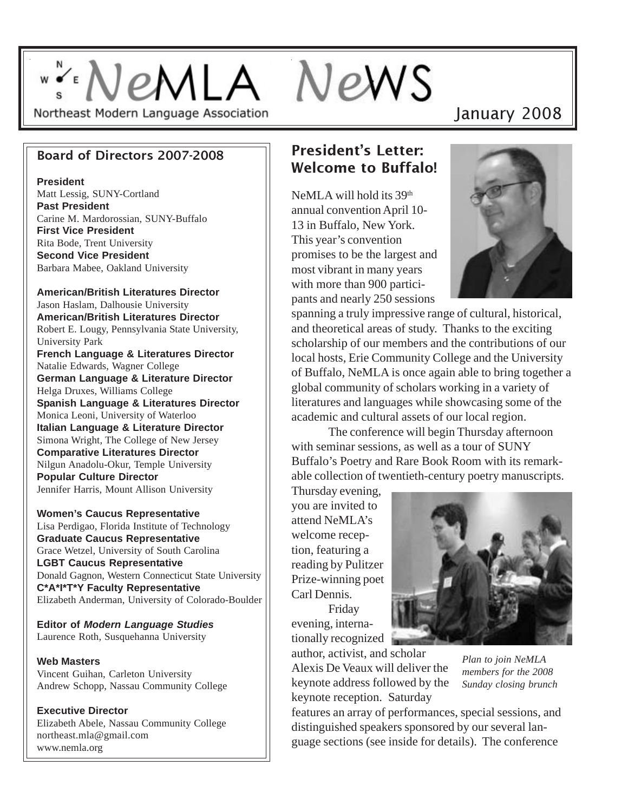# ""NeMLA NeWS Northeast Modern Language Association

# January 2008

#### Board of Directors 2007-2008

**President**

Matt Lessig, SUNY-Cortland **Past President** Carine M. Mardorossian, SUNY-Buffalo **First Vice President** Rita Bode, Trent University **Second Vice President** Barbara Mabee, Oakland University

**American/British Literatures Director** Jason Haslam, Dalhousie University **American/British Literatures Director** Robert E. Lougy, Pennsylvania State University, University Park **French Language & Literatures Director** Natalie Edwards, Wagner College **German Language & Literature Director** Helga Druxes, Williams College **Spanish Language & Literatures Director** Monica Leoni, University of Waterloo **Italian Language & Literature Director** Simona Wright, The College of New Jersey **Comparative Literatures Director**

Nilgun Anadolu-Okur, Temple University **Popular Culture Director** Jennifer Harris, Mount Allison University

**Women's Caucus Representative** Lisa Perdigao, Florida Institute of Technology **Graduate Caucus Representative** Grace Wetzel, University of South Carolina **LGBT Caucus Representative** Donald Gagnon, Western Connecticut State University **C\*A\*I\*T\*Y Faculty Representative** Elizabeth Anderman, University of Colorado-Boulder

**Editor of** *Modern Language Studies* Laurence Roth, Susquehanna University

#### **Web Masters**

Vincent Guihan, Carleton University Andrew Schopp, Nassau Community College

**Executive Director** Elizabeth Abele, Nassau Community College northeast.mla@gmail.com www.nemla.org

# President's Letter: Welcome to Buffalo!

NeMLA will hold its 39<sup>th</sup> annual convention April 10- 13 in Buffalo, New York. This year's convention promises to be the largest and most vibrant in many years with more than 900 participants and nearly 250 sessions



spanning a truly impressive range of cultural, historical, and theoretical areas of study. Thanks to the exciting scholarship of our members and the contributions of our local hosts, Erie Community College and the University of Buffalo, NeMLA is once again able to bring together a global community of scholars working in a variety of literatures and languages while showcasing some of the academic and cultural assets of our local region.

The conference will begin Thursday afternoon with seminar sessions, as well as a tour of SUNY Buffalo's Poetry and Rare Book Room with its remarkable collection of twentieth-century poetry manuscripts.

Thursday evening, you are invited to attend NeMLA's welcome reception, featuring a reading by Pulitzer Prize-winning poet Carl Dennis.

Friday evening, internationally recognized

author, activist, and scholar

Alexis De Veaux will deliver the keynote address followed by the keynote reception. Saturday



*Plan to join NeMLA members for the 2008 Sunday closing brunch*

features an array of performances, special sessions, and distinguished speakers sponsored by our several language sections (see inside for details). The conference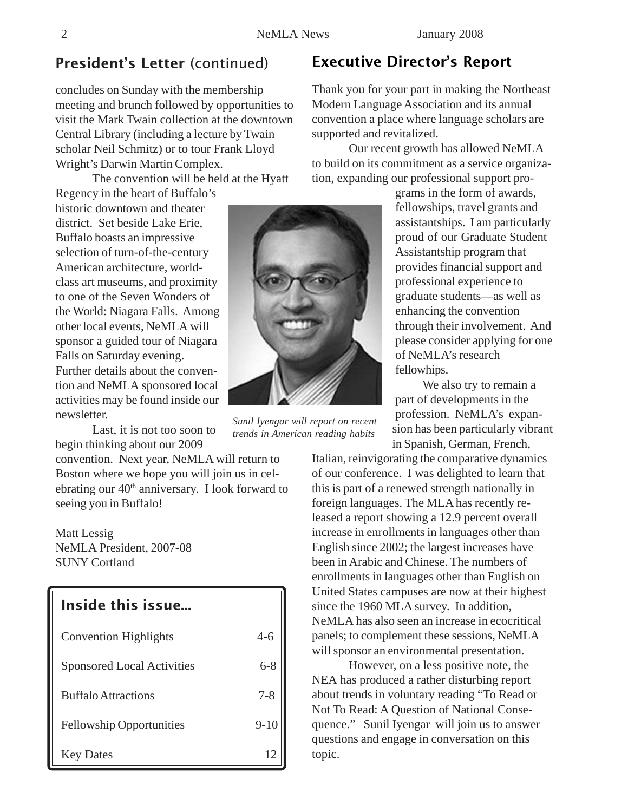# President's Letter (continued) Executive Director's Report

concludes on Sunday with the membership meeting and brunch followed by opportunities to visit the Mark Twain collection at the downtown Central Library (including a lecture by Twain scholar Neil Schmitz) or to tour Frank Lloyd Wright's Darwin Martin Complex.

The convention will be held at the Hyatt

Regency in the heart of Buffalo's historic downtown and theater district. Set beside Lake Erie, Buffalo boasts an impressive selection of turn-of-the-century American architecture, worldclass art museums, and proximity to one of the Seven Wonders of the World: Niagara Falls. Among other local events, NeMLA will sponsor a guided tour of Niagara Falls on Saturday evening. Further details about the convention and NeMLA sponsored local activities may be found inside our newsletter.

Last, it is not too soon to begin thinking about our 2009

convention. Next year, NeMLA will return to Boston where we hope you will join us in celebrating our  $40<sup>th</sup>$  anniversary. I look forward to seeing you in Buffalo!

Matt Lessig NeMLA President, 2007-08 SUNY Cortland

#### Inside this issue...

| <b>Convention Highlights</b>      | $4 - 6$  |
|-----------------------------------|----------|
| <b>Sponsored Local Activities</b> | $6 - 8$  |
| <b>Buffalo Attractions</b>        | $7 - 8$  |
| <b>Fellowship Opportunities</b>   | $9 - 10$ |
| <b>Key Dates</b>                  |          |

Thank you for your part in making the Northeast Modern Language Association and its annual convention a place where language scholars are supported and revitalized.

Our recent growth has allowed NeMLA to build on its commitment as a service organization, expanding our professional support pro-

> grams in the form of awards, fellowships, travel grants and assistantships. I am particularly proud of our Graduate Student Assistantship program that provides financial support and professional experience to graduate students—as well as enhancing the convention through their involvement. And please consider applying for one of NeMLA's research fellowhips.

We also try to remain a part of developments in the profession. NeMLA's expansion has been particularly vibrant in Spanish, German, French,

Italian, reinvigorating the comparative dynamics of our conference. I was delighted to learn that this is part of a renewed strength nationally in foreign languages. The MLA has recently released a report showing a 12.9 percent overall increase in enrollments in languages other than English since 2002; the largest increases have been in Arabic and Chinese. The numbers of enrollments in languages other than English on United States campuses are now at their highest since the 1960 MLA survey. In addition, NeMLA has also seen an increase in ecocritical panels; to complement these sessions, NeMLA will sponsor an environmental presentation.

However, on a less positive note, the NEA has produced a rather disturbing report about trends in voluntary reading "To Read or Not To Read: A Question of National Consequence." Sunil Iyengar will join us to answer questions and engage in conversation on this topic.

*Sunil Iyengar will report on recent trends in American reading habits*

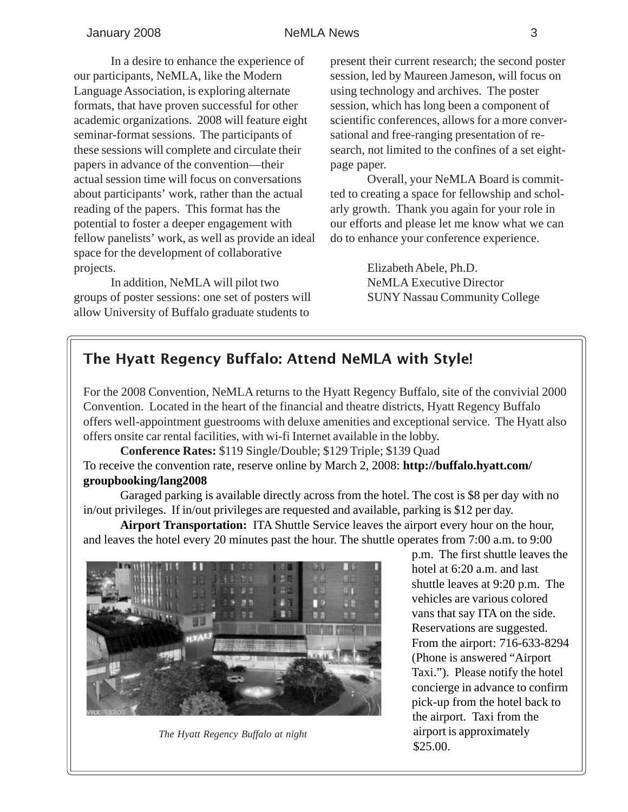#### January 2008 **NeMLA News** 3

In a desire to enhance the experience of our participants, NeMLA, like the Modern Language Association, is exploring alternate formats, that have proven successful for other academic organizations. 2008 will feature eight seminar-format sessions. The participants of these sessions will complete and circulate their papers in advance of the convention—their actual session time will focus on conversations about participants' work, rather than the actual reading of the papers. This format has the potential to foster a deeper engagement with fellow panelists' work, as well as provide an ideal space for the development of collaborative projects.

In addition, NeMLA will pilot two groups of poster sessions: one set of posters will allow University of Buffalo graduate students to

present their current research; the second poster session, led by Maureen Jameson, will focus on using technology and archives. The poster session, which has long been a component of scientific conferences, allows for a more conversational and free-ranging presentation of research, not limited to the confines of a set eightpage paper.

Overall, your NeMLA Board is committed to creating a space for fellowship and scholarly growth. Thank you again for your role in our efforts and please let me know what we can do to enhance your conference experience.

> Elizabeth Abele, Ph.D. NeMLA Executive Director SUNY Nassau Community College

# The Hyatt Regency Buffalo: Attend NeMLA with Style!

For the 2008 Convention, NeMLA returns to the Hyatt Regency Buffalo, site of the convivial 2000 Convention. Located in the heart of the financial and theatre districts, Hyatt Regency Buffalo offers well-appointment guestrooms with deluxe amenities and exceptional service. The Hyatt also offers onsite car rental facilities, with wi-fi Internet available in the lobby.

**Conference Rates:** \$119 Single/Double; \$129 Triple; \$139 Quad To receive the convention rate, reserve online by March 2, 2008: **http://buffalo.hyatt.com/ groupbooking/lang2008**

Garaged parking is available directly across from the hotel. The cost is \$8 per day with no in/out privileges. If in/out privileges are requested and available, parking is \$12 per day.

**Airport Transportation:** ITA Shuttle Service leaves the airport every hour on the hour, and leaves the hotel every 20 minutes past the hour. The shuttle operates from 7:00 a.m. to 9:00



*The Hyatt Regency Buffalo at night*

p.m. The first shuttle leaves the hotel at 6:20 a.m. and last shuttle leaves at 9:20 p.m. The vehicles are various colored vans that say ITA on the side. Reservations are suggested. From the airport: 716-633-8294 (Phone is answered "Airport Taxi."). Please notify the hotel concierge in advance to confirm pick-up from the hotel back to the airport. Taxi from the airport is approximately \$25.00.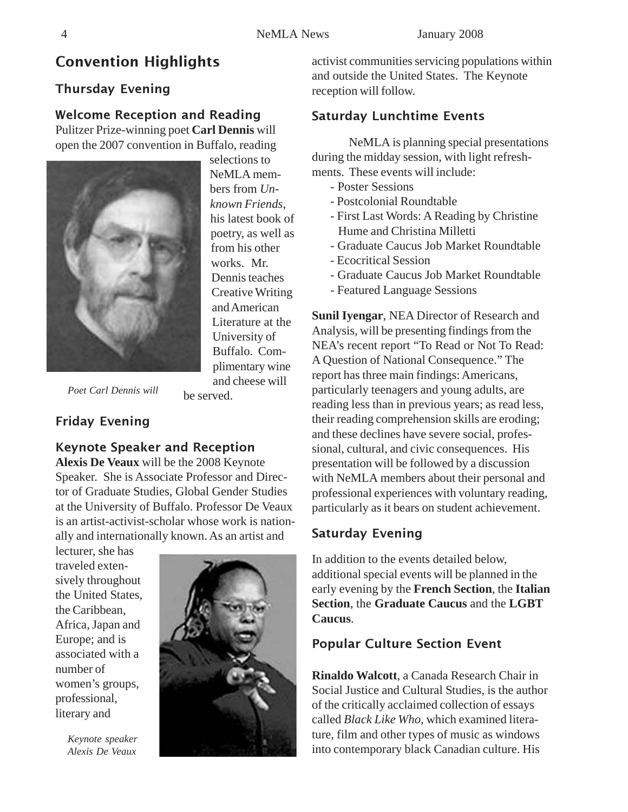# Convention Highlights

### Thursday Evening

#### Welcome Reception and Reading

Pulitzer Prize-winning poet **Carl Dennis** will open the 2007 convention in Buffalo, reading



selections to NeMLA members from *Unknown Friends*, his latest book of poetry, as well as from his other works. Mr. Dennis teaches Creative Writing and American Literature at the University of Buffalo. Complimentary wine and cheese will

*Poet Carl Dennis will*

be served.

# Friday Evening

# Keynote Speaker and Reception

**Alexis De Veaux** will be the 2008 Keynote Speaker. She is Associate Professor and Director of Graduate Studies, Global Gender Studies at the University of Buffalo. Professor De Veaux is an artist-activist-scholar whose work is nationally and internationally known. As an artist and

lecturer, she has traveled extensively throughout the United States, the Caribbean, Africa, Japan and Europe; and is associated with a number of women's groups, professional, literary and

> *Keynote speaker Alexis De Veaux*



activist communities servicing populations within and outside the United States. The Keynote reception will follow.

# Saturday Lunchtime Events

NeMLA is planning special presentations during the midday session, with light refreshments. These events will include:

- Poster Sessions
- Postcolonial Roundtable
- First Last Words: A Reading by Christine Hume and Christina Milletti
- Graduate Caucus Job Market Roundtable
- Ecocritical Session
- Graduate Caucus Job Market Roundtable
- Featured Language Sessions

**Sunil Iyengar**, NEA Director of Research and Analysis, will be presenting findings from the NEA's recent report "To Read or Not To Read: A Question of National Consequence." The report has three main findings: Americans, particularly teenagers and young adults, are reading less than in previous years; as read less, their reading comprehension skills are eroding; and these declines have severe social, professional, cultural, and civic consequences. His presentation will be followed by a discussion with NeMLA members about their personal and professional experiences with voluntary reading, particularly as it bears on student achievement.

# Saturday Evening

In addition to the events detailed below, additional special events will be planned in the early evening by the **French Section**, the **Italian Section**, the **Graduate Caucus** and the **LGBT Caucus**.

# Popular Culture Section Event

**Rinaldo Walcott**, a Canada Research Chair in Social Justice and Cultural Studies, is the author of the critically acclaimed collection of essays called *Black Like Who,* which examined literature, film and other types of music as windows into contemporary black Canadian culture. His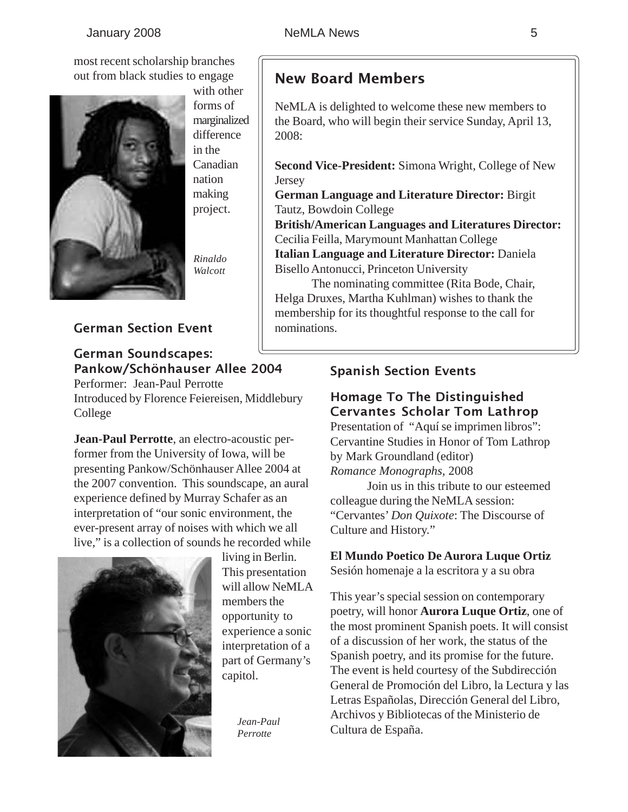most recent scholarship branches out from black studies to engage



with other forms of marginalized difference in the Canadian nation making project.

*Rinaldo Walcott*

#### German Section Event

#### German Soundscapes: Pankow/Schönhauser Allee 2004

Performer: Jean-Paul Perrotte Introduced by Florence Feiereisen, Middlebury College

**Jean-Paul Perrotte**, an electro-acoustic performer from the University of Iowa, will be presenting Pankow/Schönhauser Allee 2004 at the 2007 convention. This soundscape, an aural experience defined by Murray Schafer as an interpretation of "our sonic environment, the ever-present array of noises with which we all live," is a collection of sounds he recorded while



living in Berlin. This presentation will allow NeMLA members the opportunity to experience a sonic interpretation of a part of Germany's capitol.

> *Jean-Paul Perrotte*

# New Board Members

NeMLA is delighted to welcome these new members to the Board, who will begin their service Sunday, April 13, 2008:

**Second Vice-President:** Simona Wright, College of New Jersey

**German Language and Literature Director:** Birgit Tautz, Bowdoin College

**British/American Languages and Literatures Director:** Cecilia Feilla, Marymount Manhattan College **Italian Language and Literature Director:** Daniela

Bisello Antonucci, Princeton University

The nominating committee (Rita Bode, Chair, Helga Druxes, Martha Kuhlman) wishes to thank the membership for its thoughtful response to the call for nominations.

#### Spanish Section Events

#### Homage To The Distinguished Cervantes Scholar Tom Lathrop

Presentation of "Aquí se imprimen libros": Cervantine Studies in Honor of Tom Lathrop by Mark Groundland (editor) *Romance Monographs,* 2008

 Join us in this tribute to our esteemed colleague during the NeMLA session: "Cervantes' *Don Quixote*: The Discourse of Culture and History."

#### **El Mundo Poetico De Aurora Luque Ortiz**

Sesión homenaje a la escritora y a su obra

This year's special session on contemporary poetry, will honor **Aurora Luque Ortiz**, one of the most prominent Spanish poets. It will consist of a discussion of her work, the status of the Spanish poetry, and its promise for the future. The event is held courtesy of the Subdirección General de Promoción del Libro, la Lectura y las Letras Españolas, Dirección General del Libro, Archivos y Bibliotecas of the Ministerio de Cultura de España.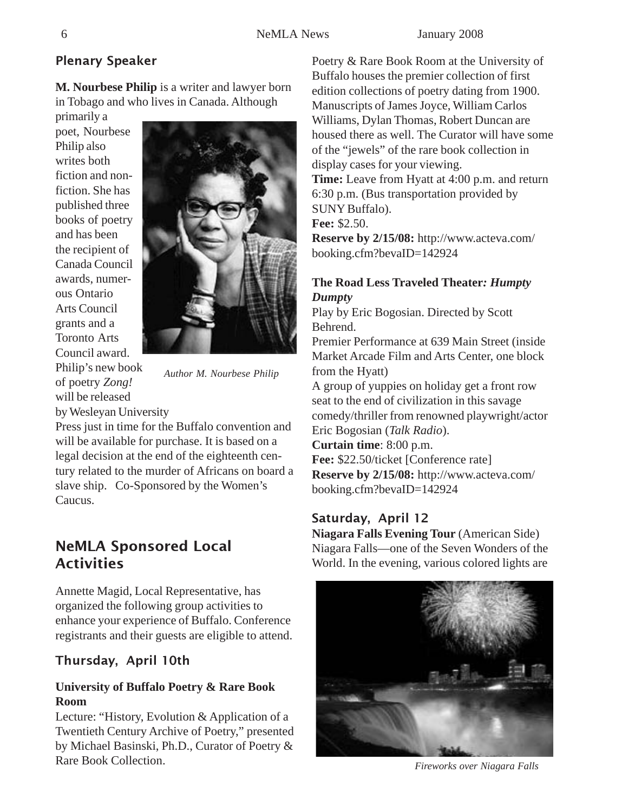# Plenary Speaker

**M. Nourbese Philip** is a writer and lawyer born in Tobago and who lives in Canada. Although

primarily a poet, Nourbese Philip also writes both fiction and nonfiction. She has published three books of poetry and has been the recipient of Canada Council awards, numerous Ontario Arts Council grants and a Toronto Arts Council award. Philip's new book of poetry *Zong!* will be released



*Author M. Nourbese Philip*

by Wesleyan University

Press just in time for the Buffalo convention and will be available for purchase. It is based on a legal decision at the end of the eighteenth century related to the murder of Africans on board a slave ship. Co-Sponsored by the Women's Caucus.

# NeMLA Sponsored Local **Activities**

Annette Magid, Local Representative, has organized the following group activities to enhance your experience of Buffalo. Conference registrants and their guests are eligible to attend.

# Thursday, April 10th

#### **University of Buffalo Poetry & Rare Book Room**

Lecture: "History, Evolution & Application of a Twentieth Century Archive of Poetry," presented by Michael Basinski, Ph.D., Curator of Poetry & Rare Book Collection.

Poetry & Rare Book Room at the University of Buffalo houses the premier collection of first edition collections of poetry dating from 1900. Manuscripts of James Joyce, William Carlos Williams, Dylan Thomas, Robert Duncan are housed there as well. The Curator will have some of the "jewels" of the rare book collection in display cases for your viewing. **Time:** Leave from Hyatt at 4:00 p.m. and return 6:30 p.m. (Bus transportation provided by SUNY Buffalo). **Fee:** \$2.50. **Reserve by 2/15/08:** http://www.acteva.com/ booking.cfm?bevaID=142924

#### **The Road Less Traveled Theater***: Humpty Dumpty*

Play by Eric Bogosian. Directed by Scott Behrend.

Premier Performance at 639 Main Street (inside Market Arcade Film and Arts Center, one block from the Hyatt)

A group of yuppies on holiday get a front row seat to the end of civilization in this savage comedy/thriller from renowned playwright/actor Eric Bogosian (*Talk Radio*).

**Curtain time**: 8:00 p.m.

**Fee:** \$22.50/ticket [Conference rate] **Reserve by 2/15/08:** http://www.acteva.com/ booking.cfm?bevaID=142924

# Saturday, April 12

**Niagara Falls Evening Tour** (American Side) Niagara Falls—one of the Seven Wonders of the World. In the evening, various colored lights are



*Fireworks over Niagara Falls*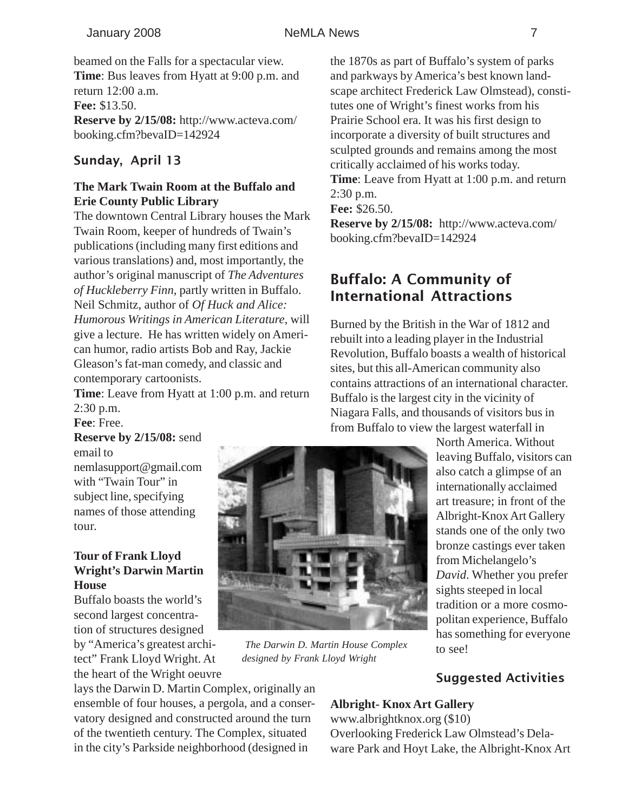beamed on the Falls for a spectacular view. **Time**: Bus leaves from Hyatt at 9:00 p.m. and return 12:00 a.m. **Fee:** \$13.50. **Reserve by 2/15/08:** http://www.acteva.com/ booking.cfm?bevaID=142924

#### Sunday, April 13

#### **The Mark Twain Room at the Buffalo and Erie County Public Library**

The downtown Central Library houses the Mark Twain Room, keeper of hundreds of Twain's publications (including many first editions and various translations) and, most importantly, the author's original manuscript of *The Adventures of Huckleberry Finn*, partly written in Buffalo. Neil Schmitz, author of *Of Huck and Alice: Humorous Writings in American Literature*, will give a lecture. He has written widely on American humor, radio artists Bob and Ray, Jackie Gleason's fat-man comedy, and classic and contemporary cartoonists.

**Time**: Leave from Hyatt at 1:00 p.m. and return 2:30 p.m.

**Fee**: Free.

**Reserve by 2/15/08:** send email to

nemlasupport@gmail.com with "Twain Tour" in subject line, specifying names of those attending tour.

#### **Tour of Frank Lloyd Wright's Darwin Martin House**

Buffalo boasts the world's second largest concentration of structures designed

by "America's greatest architect" Frank Lloyd Wright. At the heart of the Wright oeuvre

lays the Darwin D. Martin Complex, originally an ensemble of four houses, a pergola, and a conservatory designed and constructed around the turn of the twentieth century. The Complex, situated in the city's Parkside neighborhood (designed in

the 1870s as part of Buffalo's system of parks and parkways by America's best known landscape architect Frederick Law Olmstead), constitutes one of Wright's finest works from his Prairie School era. It was his first design to incorporate a diversity of built structures and sculpted grounds and remains among the most critically acclaimed of his works today. **Time**: Leave from Hyatt at 1:00 p.m. and return

2:30 p.m.

**Fee:** \$26.50.

**Reserve by 2/15/08:** http://www.acteva.com/ booking.cfm?bevaID=142924

# Buffalo: A Community of International Attractions

Burned by the British in the War of 1812 and rebuilt into a leading player in the Industrial Revolution, Buffalo boasts a wealth of historical sites, but this all-American community also contains attractions of an international character. Buffalo is the largest city in the vicinity of Niagara Falls, and thousands of visitors bus in from Buffalo to view the largest waterfall in

North America. Without leaving Buffalo, visitors can also catch a glimpse of an internationally acclaimed art treasure; in front of the Albright-Knox Art Gallery stands one of the only two bronze castings ever taken from Michelangelo's *David*. Whether you prefer sights steeped in local tradition or a more cosmopolitan experience, Buffalo has something for everyone to see!

#### Suggested Activities

#### **Albright- Knox Art Gallery**

www.albrightknox.org (\$10) Overlooking Frederick Law Olmstead's Delaware Park and Hoyt Lake, the Albright-Knox Art

*The Darwin D. Martin House Complex*

*designed by Frank Lloyd Wright*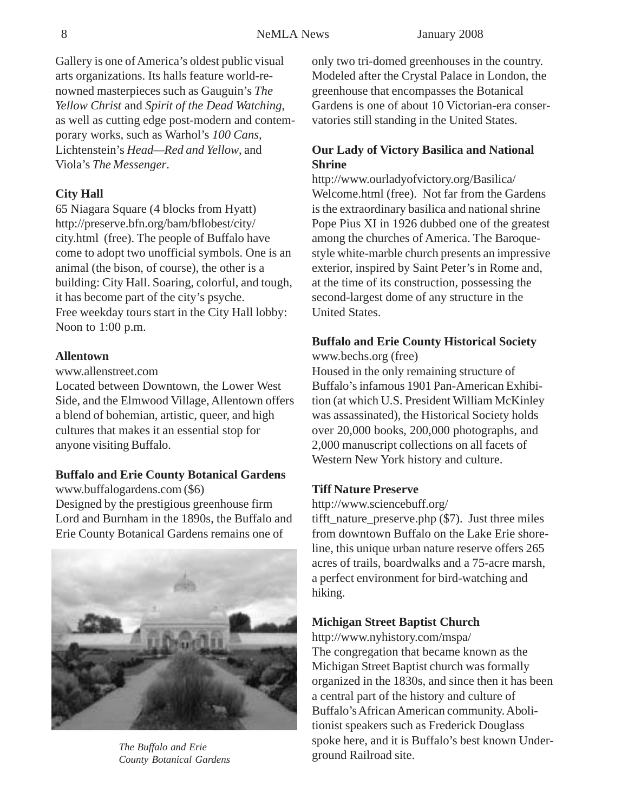Gallery is one of America's oldest public visual arts organizations. Its halls feature world-renowned masterpieces such as Gauguin's *The Yellow Christ* and *Spirit of the Dead Watching*, as well as cutting edge post-modern and contemporary works, such as Warhol's *100 Cans,* Lichtenstein's *Head—Red and Yellow*, and Viola's *The Messenger*.

#### **City Hall**

65 Niagara Square (4 blocks from Hyatt) http://preserve.bfn.org/bam/bflobest/city/ city.html (free). The people of Buffalo have come to adopt two unofficial symbols. One is an animal (the bison, of course), the other is a building: City Hall. Soaring, colorful, and tough, it has become part of the city's psyche. Free weekday tours start in the City Hall lobby: Noon to 1:00 p.m.

#### **Allentown**

www.allenstreet.com

Located between Downtown, the Lower West Side, and the Elmwood Village, Allentown offers a blend of bohemian, artistic, queer, and high cultures that makes it an essential stop for anyone visiting Buffalo.

#### **Buffalo and Erie County Botanical Gardens**

www.buffalogardens.com (\$6) Designed by the prestigious greenhouse firm Lord and Burnham in the 1890s, the Buffalo and Erie County Botanical Gardens remains one of



The Buffalo and Erie<br>County Botanical Gardens<br>**The Buffalo and Eric** spoke here, and it is t *County Botanical Gardens*

only two tri-domed greenhouses in the country. Modeled after the Crystal Palace in London, the greenhouse that encompasses the Botanical Gardens is one of about 10 Victorian-era conservatories still standing in the United States.

#### **Our Lady of Victory Basilica and National Shrine**

http://www.ourladyofvictory.org/Basilica/ Welcome.html (free). Not far from the Gardens is the extraordinary basilica and national shrine Pope Pius XI in 1926 dubbed one of the greatest among the churches of America. The Baroquestyle white-marble church presents an impressive exterior, inspired by Saint Peter's in Rome and, at the time of its construction, possessing the second-largest dome of any structure in the United States.

#### **Buffalo and Erie County Historical Society** www.bechs.org (free)

Housed in the only remaining structure of Buffalo's infamous 1901 Pan-American Exhibition (at which U.S. President William McKinley was assassinated), the Historical Society holds over 20,000 books, 200,000 photographs, and 2,000 manuscript collections on all facets of Western New York history and culture.

#### **Tiff Nature Preserve**

http://www.sciencebuff.org/

tifft\_nature\_preserve.php (\$7). Just three miles from downtown Buffalo on the Lake Erie shoreline, this unique urban nature reserve offers 265 acres of trails, boardwalks and a 75-acre marsh, a perfect environment for bird-watching and hiking.

#### **Michigan Street Baptist Church**

http://www.nyhistory.com/mspa/ The congregation that became known as the Michigan Street Baptist church was formally organized in the 1830s, and since then it has been a central part of the history and culture of Buffalo's African American community. Abolitionist speakers such as Frederick Douglass spoke here, and it is Buffalo's best known Under-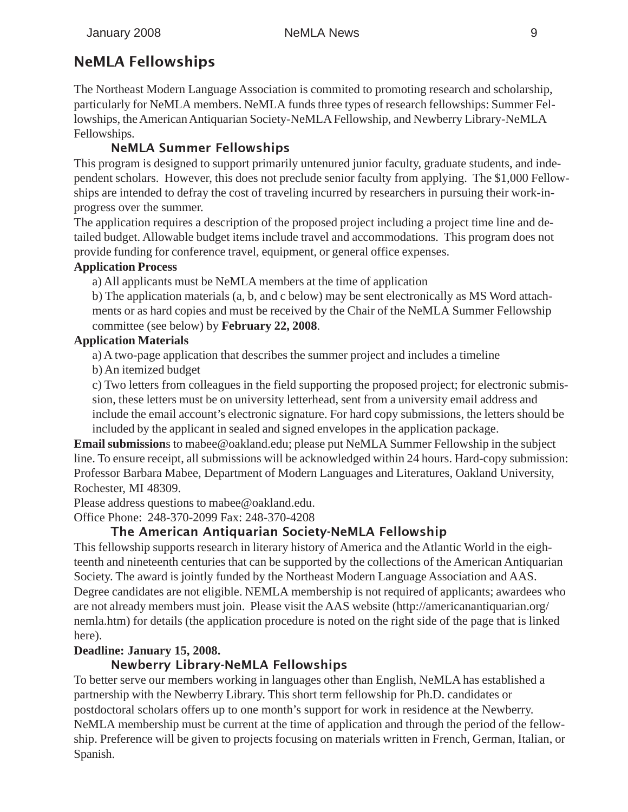# NeMLA Fellowships

The Northeast Modern Language Association is commited to promoting research and scholarship, particularly for NeMLA members. NeMLA funds three types of research fellowships: Summer Fellowships, the American Antiquarian Society-NeMLA Fellowship, and Newberry Library-NeMLA Fellowships.

# NeMLA Summer Fellowships

This program is designed to support primarily untenured junior faculty, graduate students, and independent scholars. However, this does not preclude senior faculty from applying. The \$1,000 Fellowships are intended to defray the cost of traveling incurred by researchers in pursuing their work-inprogress over the summer.

The application requires a description of the proposed project including a project time line and detailed budget. Allowable budget items include travel and accommodations. This program does not provide funding for conference travel, equipment, or general office expenses.

#### **Application Process**

a) All applicants must be NeMLA members at the time of application

b) The application materials (a, b, and c below) may be sent electronically as MS Word attachments or as hard copies and must be received by the Chair of the NeMLA Summer Fellowship committee (see below) by **February 22, 2008**.

#### **Application Materials**

a) A two-page application that describes the summer project and includes a timeline

b) An itemized budget

c) Two letters from colleagues in the field supporting the proposed project; for electronic submission, these letters must be on university letterhead, sent from a university email address and include the email account's electronic signature. For hard copy submissions, the letters should be included by the applicant in sealed and signed envelopes in the application package.

**Email submission**s to mabee@oakland.edu; please put NeMLA Summer Fellowship in the subject line. To ensure receipt, all submissions will be acknowledged within 24 hours. Hard-copy submission: Professor Barbara Mabee, Department of Modern Languages and Literatures, Oakland University, Rochester, MI 48309.

Please address questions to mabee@oakland.edu.

Office Phone: 248-370-2099 Fax: 248-370-4208

# The American Antiquarian Society-NeMLA Fellowship

This fellowship supports research in literary history of America and the Atlantic World in the eighteenth and nineteenth centuries that can be supported by the collections of the American Antiquarian Society. The award is jointly funded by the Northeast Modern Language Association and AAS. Degree candidates are not eligible. NEMLA membership is not required of applicants; awardees who are not already members must join. Please visit the AAS website (http://americanantiquarian.org/ nemla.htm) for details (the application procedure is noted on the right side of the page that is linked here).

#### **Deadline: January 15, 2008.**

# Newberry Library-NeMLA Fellowships

To better serve our members working in languages other than English, NeMLA has established a partnership with the Newberry Library. This short term fellowship for Ph.D. candidates or postdoctoral scholars offers up to one month's support for work in residence at the Newberry. NeMLA membership must be current at the time of application and through the period of the fellowship. Preference will be given to projects focusing on materials written in French, German, Italian, or Spanish.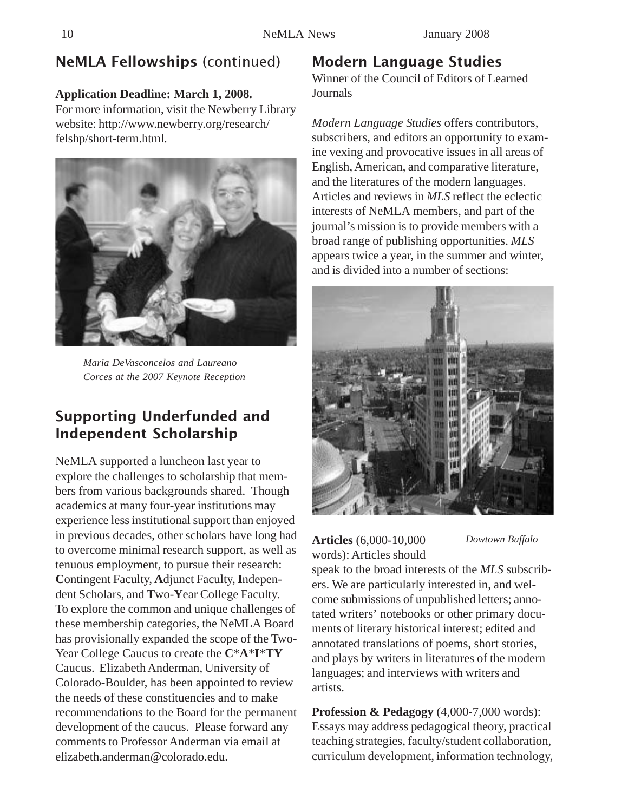# NeMLA Fellowships (continued)

#### **Application Deadline: March 1, 2008.**

For more information, visit the Newberry Library website: http://www.newberry.org/research/ felshp/short-term.html.



*Maria DeVasconcelos and Laureano Corces at the 2007 Keynote Reception*

# Supporting Underfunded and Independent Scholarship

NeMLA supported a luncheon last year to explore the challenges to scholarship that members from various backgrounds shared. Though academics at many four-year institutions may experience less institutional support than enjoyed in previous decades, other scholars have long had to overcome minimal research support, as well as tenuous employment, to pursue their research: **C**ontingent Faculty, **A**djunct Faculty, **I**ndependent Scholars, and **T**wo-**Y**ear College Faculty. To explore the common and unique challenges of these membership categories, the NeMLA Board has provisionally expanded the scope of the Two-Year College Caucus to create the **C**\***A**\***I**\***TY** Caucus. Elizabeth Anderman, University of Colorado-Boulder, has been appointed to review the needs of these constituencies and to make recommendations to the Board for the permanent development of the caucus. Please forward any comments to Professor Anderman via email at elizabeth.anderman@colorado.edu.

# Modern Language Studies

Winner of the Council of Editors of Learned Journals

*Modern Language Studies* offers contributors, subscribers, and editors an opportunity to examine vexing and provocative issues in all areas of English, American, and comparative literature, and the literatures of the modern languages. Articles and reviews in *MLS* reflect the eclectic interests of NeMLA members, and part of the journal's mission is to provide members with a broad range of publishing opportunities. *MLS* appears twice a year, in the summer and winter, and is divided into a number of sections:



**Articles** (6,000-10,000 words): Articles should *Dowtown Buffalo*

speak to the broad interests of the *MLS* subscribers. We are particularly interested in, and welcome submissions of unpublished letters; annotated writers' notebooks or other primary documents of literary historical interest; edited and annotated translations of poems, short stories, and plays by writers in literatures of the modern languages; and interviews with writers and artists.

**Profession & Pedagogy** (4,000-7,000 words): Essays may address pedagogical theory, practical teaching strategies, faculty/student collaboration, curriculum development, information technology,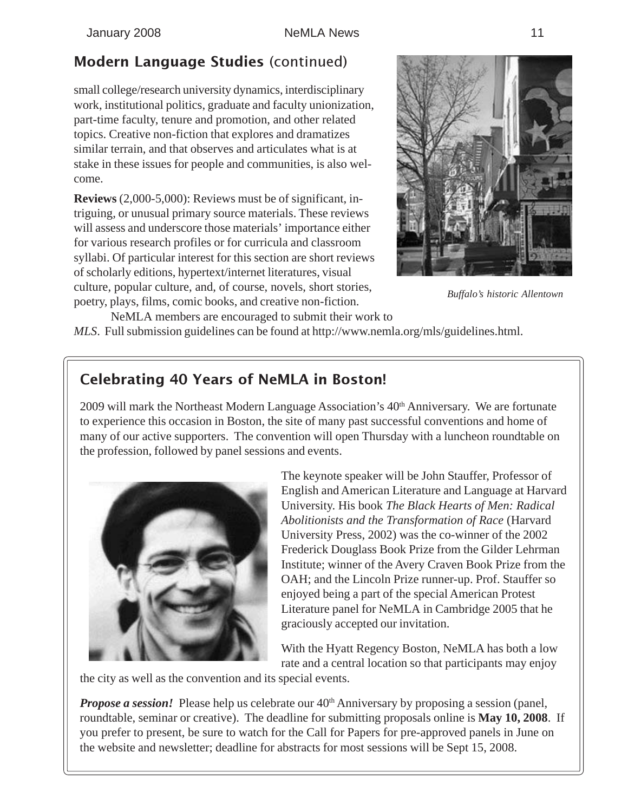# Modern Language Studies (continued)

small college/research university dynamics, interdisciplinary work, institutional politics, graduate and faculty unionization, part-time faculty, tenure and promotion, and other related topics. Creative non-fiction that explores and dramatizes similar terrain, and that observes and articulates what is at stake in these issues for people and communities, is also welcome.

**Reviews** (2,000-5,000): Reviews must be of significant, intriguing, or unusual primary source materials. These reviews will assess and underscore those materials' importance either for various research profiles or for curricula and classroom syllabi. Of particular interest for this section are short reviews of scholarly editions, hypertext/internet literatures, visual culture, popular culture, and, of course, novels, short stories, poetry, plays, films, comic books, and creative non-fiction.



*Buffalo's historic Allentown*

NeMLA members are encouraged to submit their work to *MLS*. Full submission guidelines can be found at http://www.nemla.org/mls/guidelines.html.

# Celebrating 40 Years of NeMLA in Boston!

2009 will mark the Northeast Modern Language Association's  $40<sup>th</sup>$  Anniversary. We are fortunate to experience this occasion in Boston, the site of many past successful conventions and home of many of our active supporters. The convention will open Thursday with a luncheon roundtable on the profession, followed by panel sessions and events.



The keynote speaker will be John Stauffer, Professor of English and American Literature and Language at Harvard University. His book *The Black Hearts of Men: Radical Abolitionists and the Transformation of Race* (Harvard University Press, 2002) was the co-winner of the 2002 Frederick Douglass Book Prize from the Gilder Lehrman Institute; winner of the Avery Craven Book Prize from the OAH; and the Lincoln Prize runner-up. Prof. Stauffer so enjoyed being a part of the special American Protest Literature panel for NeMLA in Cambridge 2005 that he graciously accepted our invitation.

With the Hyatt Regency Boston, NeMLA has both a low rate and a central location so that participants may enjoy

the city as well as the convention and its special events.

*Propose a session!* Please help us celebrate our 40<sup>th</sup> Anniversary by proposing a session (panel, roundtable, seminar or creative). The deadline for submitting proposals online is **May 10, 2008**. If you prefer to present, be sure to watch for the Call for Papers for pre-approved panels in June on the website and newsletter; deadline for abstracts for most sessions will be Sept 15, 2008.